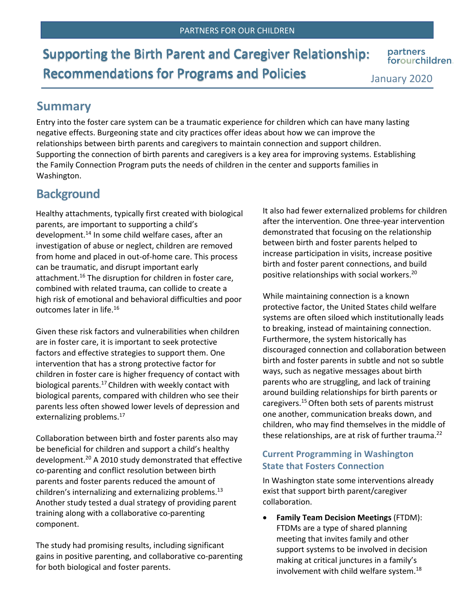**Supporting the Birth Parent and Caregiver Relationship: Recommendations for Programs and Policies** 

partners forourchildren.

January 2020

## **Summary**

Entry into the foster care system can be a traumatic experience for children which can have many lasting negative effects. Burgeoning state and city practices offer ideas about how we can improve the relationships between birth parents and caregivers to maintain connection and support children. Supporting the connection of birth parents and caregivers is a key area for improving systems. Establishing the Family Connection Program puts the needs of children in the center and supports families in Washington.

## **Background**

Healthy attachments, typically first created with biological parents, are important to supporting a child's development.<sup>14</sup> In some child welfare cases, after an investigation of abuse or neglect, children are removed from home and placed in out-of-home care. This process can be traumatic, and disrupt important early attachment.<sup>16</sup> The disruption for children in foster care, combined with related trauma, can collide to create a high risk of emotional and behavioral difficulties and poor outcomes later in life.16

Given these risk factors and vulnerabilities when children are in foster care, it is important to seek protective factors and effective strategies to support them. One intervention that has a strong protective factor for children in foster care is higher frequency of contact with biological parents.<sup>17</sup> Children with weekly contact with biological parents, compared with children who see their parents less often showed lower levels of depression and externalizing problems.<sup>17</sup>

Collaboration between birth and foster parents also may be beneficial for children and support a child's healthy development.<sup>20</sup> A 2010 study demonstrated that effective co-parenting and conflict resolution between birth parents and foster parents reduced the amount of children's internalizing and externalizing problems. $^{13}$ Another study tested a dual strategy of providing parent training along with a collaborative co-parenting component.

The study had promising results, including significant gains in positive parenting, and collaborative co-parenting for both biological and foster parents.

It also had fewer externalized problems for children after the intervention. One three-year intervention demonstrated that focusing on the relationship between birth and foster parents helped to increase participation in visits, increase positive birth and foster parent connections, and build positive relationships with social workers.20

While maintaining connection is a known protective factor, the United States child welfare systems are often siloed which institutionally leads to breaking, instead of maintaining connection. Furthermore, the system historically has discouraged connection and collaboration between birth and foster parents in subtle and not so subtle ways, such as negative messages about birth parents who are struggling, and lack of training around building relationships for birth parents or caregivers. 15 Often both sets of parents mistrust one another, communication breaks down, and children, who may find themselves in the middle of these relationships, are at risk of further trauma.<sup>22</sup>

### **Current Programming in Washington State that Fosters Connection**

In Washington state some interventions already exist that support birth parent/caregiver collaboration.

• **Family Team Decision Meetings** (FTDM): FTDMs are a type of shared planning meeting that invites family and other support systems to be involved in decision making at critical junctures in a family's involvement with child welfare system.<sup>18</sup>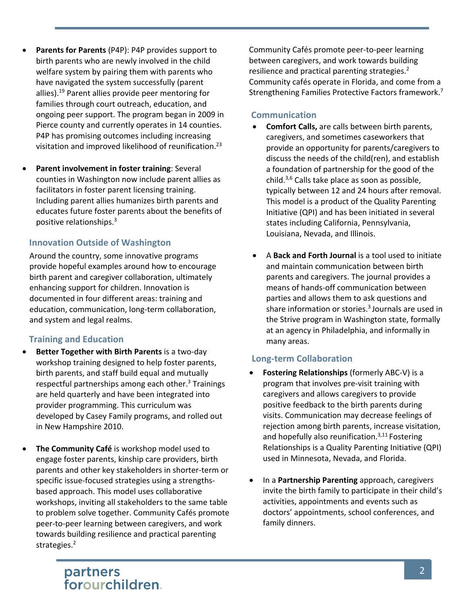- Parents for Parents (P4P): P4P provides support to birth parents who are newly involved in the child welfare system by pairing them with parents who have navigated the system successfully (parent allies).19 Parent allies provide peer mentoring for families through court outreach, education, and ongoing peer support. The program began in 2009 in Pierce county and currently operates in 14 counties. P4P has promising outcomes including increasing visitation and improved likelihood of reunification.23
- **Parent involvement in foster training: Several** counties in Washington now include parent allies as facilitators in foster parent licensing training. Including parent allies humanizes birth parents and educates future foster parents about the benefits of positive relationships.3

### **Innovation Outside of Washington**

Around the country, some innovative programs provide hopeful examples around how to encourage birth parent and caregiver collaboration, ultimately enhancing support for children. Innovation is documented in four different areas: training and education, communication, long-term collaboration, and system and legal realms.

### **Training and Education**

- **Better Together with Birth Parents** is a two-day workshop training designed to help foster parents, birth parents, and staff build equal and mutually respectful partnerships among each other.<sup>3</sup> Trainings are held quarterly and have been integrated into provider programming. This curriculum was developed by Casey Family programs, and rolled out in New Hampshire 2010.
- **The Community Café** is workshop model used to engage foster parents, kinship care providers, birth parents and other key stakeholders in shorter-term or specific issue-focused strategies using a strengthsbased approach. This model uses collaborative workshops, inviting all stakeholders to the same table to problem solve together. Community Cafés promote peer-to-peer learning between caregivers, and work towards building resilience and practical parenting strategies.<sup>2</sup>

Community Cafés promote peer-to-peer learning between caregivers, and work towards building resilience and practical parenting strategies.<sup>2</sup> Community cafés operate in Florida, and come from a Strengthening Families Protective Factors framework.7

### **Communication**

- **Comfort Calls,** are calls between birth parents, caregivers, and sometimes caseworkers that provide an opportunity for parents/caregivers to discuss the needs of the child(ren), and establish a foundation of partnership for the good of the child. $3,6$  Calls take place as soon as possible, typically between 12 and 24 hours after removal. This model is a product of the Quality Parenting Initiative (QPI) and has been initiated in several states including California, Pennsylvania, Louisiana, Nevada, and Illinois.
- A **Back and Forth Journal** is a tool used to initiate and maintain communication between birth parents and caregivers. The journal provides a means of hands-off communication between parties and allows them to ask questions and share information or stories. $3$  Journals are used in the Strive program in Washington state, formally at an agency in Philadelphia, and informally in many areas.

### **Long-term Collaboration**

- **Fostering Relationships** (formerly ABC-V) is a program that involves pre-visit training with caregivers and allows caregivers to provide positive feedback to the birth parents during visits. Communication may decrease feelings of rejection among birth parents, increase visitation, and hopefully also reunification. $3,11$  Fostering Relationships is a Quality Parenting Initiative (QPI) used in Minnesota, Nevada, and Florida.
- In a **Partnership Parenting** approach, caregivers invite the birth family to participate in their child's activities, appointments and events such as doctors' appointments, school conferences, and family dinners.

# partners<br>forourchildren.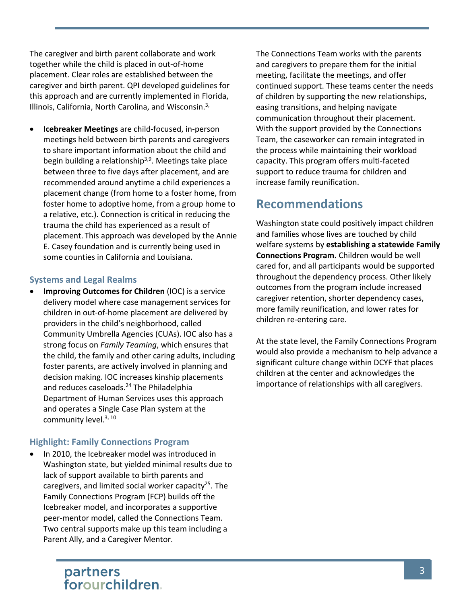The caregiver and birth parent collaborate and work together while the child is placed in out-of-home placement. Clear roles are established between the caregiver and birth parent. QPI developed guidelines for this approach and are currently implemented in Florida, Illinois, California, North Carolina, and Wisconsin.<sup>3,</sup>

• **Icebreaker Meetings** are child-focused, in-person meetings held between birth parents and caregivers to share important information about the child and begin building a relationship<sup>3,9</sup>. Meetings take place between three to five days after placement, and are recommended around anytime a child experiences a placement change (from home to a foster home, from foster home to adoptive home, from a group home to a relative, etc.). Connection is critical in reducing the trauma the child has experienced as a result of placement. This approach was developed by the Annie E. Casey foundation and is currently being used in some counties in California and Louisiana.

### **Systems and Legal Realms**

**Improving Outcomes for Children** (IOC) is a service delivery model where case management services for children in out-of-home placement are delivered by providers in the child's neighborhood, called Community Umbrella Agencies (CUAs). IOC also has a strong focus on *Family Teaming*, which ensures that the child, the family and other caring adults, including foster parents, are actively involved in planning and decision making. IOC increases kinship placements and reduces caseloads.<sup>24</sup> The Philadelphia Department of Human Services uses this approach and operates a Single Case Plan system at the community level.<sup>3, 10</sup>

### **Highlight: Family Connections Program**

In 2010, the Icebreaker model was introduced in Washington state, but yielded minimal results due to lack of support available to birth parents and caregivers, and limited social worker capacity<sup>25</sup>. The Family Connections Program (FCP) builds off the Icebreaker model, and incorporates a supportive peer-mentor model, called the Connections Team. Two central supports make up this team including a Parent Ally, and a Caregiver Mentor.

The Connections Team works with the parents and caregivers to prepare them for the initial meeting, facilitate the meetings, and offer continued support. These teams center the needs of children by supporting the new relationships, easing transitions, and helping navigate communication throughout their placement. With the support provided by the Connections Team, the caseworker can remain integrated in the process while maintaining their workload capacity. This program offers multi-faceted support to reduce trauma for children and increase family reunification.

## **Recommendations**

Washington state could positively impact children and families whose lives are touched by child welfare systems by **establishing a statewide Family Connections Program.** Children would be well cared for, and all participants would be supported throughout the dependency process. Other likely outcomes from the program include increased caregiver retention, shorter dependency cases, more family reunification, and lower rates for children re-entering care.

At the state level, the Family Connections Program would also provide a mechanism to help advance a significant culture change within DCYF that places children at the center and acknowledges the importance of relationships with all caregivers.

## partners<br>forourchildren.